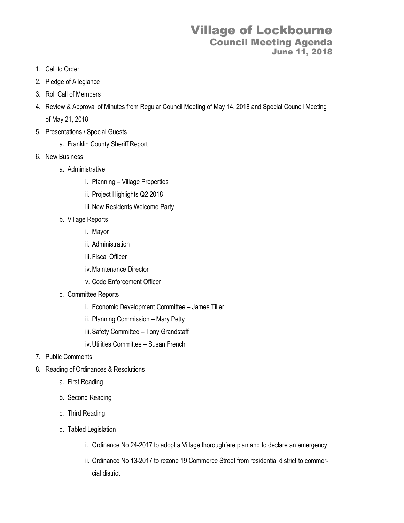## Village of Lockbourne Council Meeting Agenda June 11, 2018

- 1. Call to Order
- 2. Pledge of Allegiance
- 3. Roll Call of Members
- 4. Review & Approval of Minutes from Regular Council Meeting of May 14, 2018 and Special Council Meeting of May 21, 2018
- 5. Presentations / Special Guests
	- a. Franklin County Sheriff Report
- 6. New Business
	- a. Administrative
		- i. Planning Village Properties
		- ii. Project Highlights Q2 2018
		- iii. New Residents Welcome Party
	- b. Village Reports
		- i. Mayor
		- ii. Administration
		- iii. Fiscal Officer
		- iv.Maintenance Director
		- v. Code Enforcement Officer
	- c. Committee Reports
		- i. Economic Development Committee James Tiller
		- ii. Planning Commission Mary Petty
		- iii. Safety Committee Tony Grandstaff
		- iv.Utilities Committee Susan French
- 7. Public Comments
- 8. Reading of Ordinances & Resolutions
	- a. First Reading
	- b. Second Reading
	- c. Third Reading
	- d. Tabled Legislation
		- i. Ordinance No 24-2017 to adopt a Village thoroughfare plan and to declare an emergency
		- ii. Ordinance No 13-2017 to rezone 19 Commerce Street from residential district to commercial district